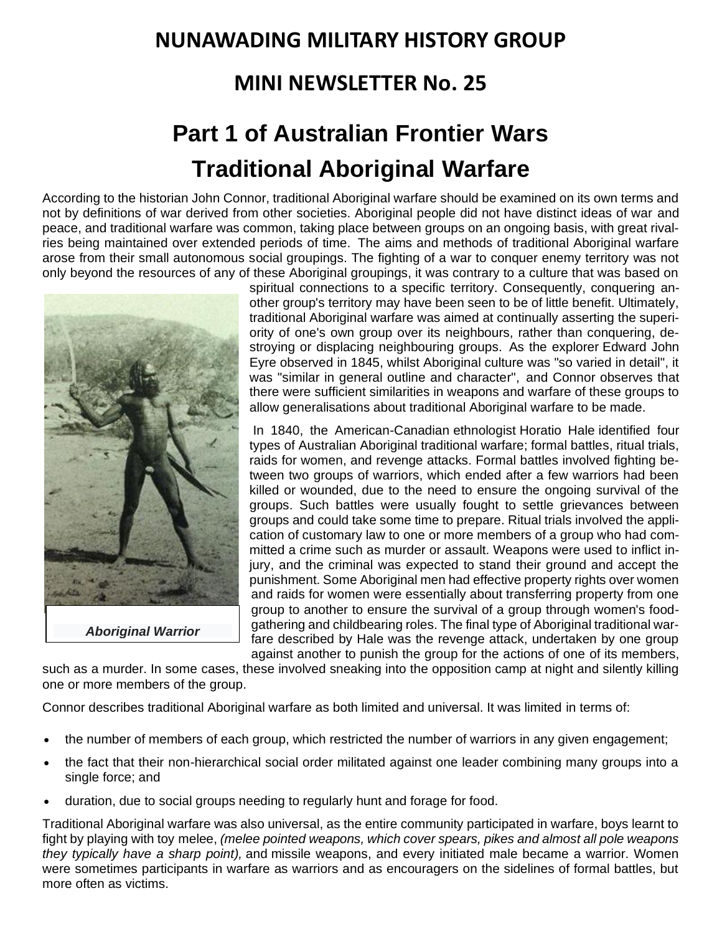## **NUNAWADING MILITARY HISTORY GROUP**

## **MINI NEWSLETTER No. 25**

# **Part 1 of Australian Frontier Wars Traditional Aboriginal Warfare**

According to the historian John Connor, traditional Aboriginal warfare should be examined on its own terms and not by definitions of war derived from other societies. Aboriginal people did not have distinct ideas of war and peace, and traditional warfare was common, taking place between groups on an ongoing basis, with great rivalries being maintained over extended periods of time. The aims and methods of traditional Aboriginal warfare arose from their small autonomous social groupings. The fighting of a war to conquer enemy territory was not only beyond the resources of any of these Aboriginal groupings, it was contrary to a culture that was based on



spiritual connections to a specific territory. Consequently, conquering another group's territory may have been seen to be of little benefit. Ultimately, traditional Aboriginal warfare was aimed at continually asserting the superiority of one's own group over its neighbours, rather than conquering, destroying or displacing neighbouring groups. As the explorer [Edward John](https://en.wikipedia.org/wiki/Edward_John_Eyre)  [Eyre](https://en.wikipedia.org/wiki/Edward_John_Eyre) observed in 1845, whilst Aboriginal culture was "so varied in detail", it was "similar in general outline and character", and Connor observes that there were sufficient similarities in weapons and warfare of these groups to allow generalisations about traditional Aboriginal warfare to be made.

In 1840, the American-Canadian [ethnologist](https://en.wikipedia.org/wiki/Ethnologist) [Horatio Hale](https://en.wikipedia.org/wiki/Horatio_Hale) identified four types of Australian Aboriginal traditional warfare; formal battles, ritual trials, raids for women, and revenge attacks. Formal battles involved fighting between two groups of warriors, which ended after a few warriors had been killed or wounded, due to the need to ensure the ongoing survival of the groups. Such battles were usually fought to settle grievances between groups and could take some time to prepare. Ritual trials involved the application of customary law to one or more members of a group who had committed a crime such as murder or assault. Weapons were used to inflict injury, and the criminal was expected to stand their ground and accept the punishment. Some Aboriginal men had effective property rights over women and raids for women were essentially about transferring property from one group to another to ensure the survival of a group through women's foodgathering and childbearing roles. The final type of Aboriginal traditional warfare described by Hale was the revenge attack, undertaken by one group against another to punish the group for the actions of one of its members,

such as a murder. In some cases, these involved sneaking into the opposition camp at night and silently killing one or more members of the group.

Connor describes traditional Aboriginal warfare as both limited and universal. It was limited in terms of:

- the number of members of each group, which restricted the number of warriors in any given engagement;
- the fact that their non-hierarchical social order militated against one leader combining many groups into a single force; and
- duration, due to social groups needing to regularly hunt and forage for food.

Traditional Aboriginal warfare was also universal, as the entire community participated in warfare, boys learnt to fight by playing with toy [melee,](https://en.wikipedia.org/wiki/Melee_weapon) *(melee pointed weapons, which cover spears, pikes and almost all pole weapons they typically have a sharp point),* and [missile weapons,](https://en.wikipedia.org/wiki/Ranged_weapon) and every initiated male became a warrior. Women were sometimes participants in warfare as warriors and as encouragers on the sidelines of formal battles, but more often as victims.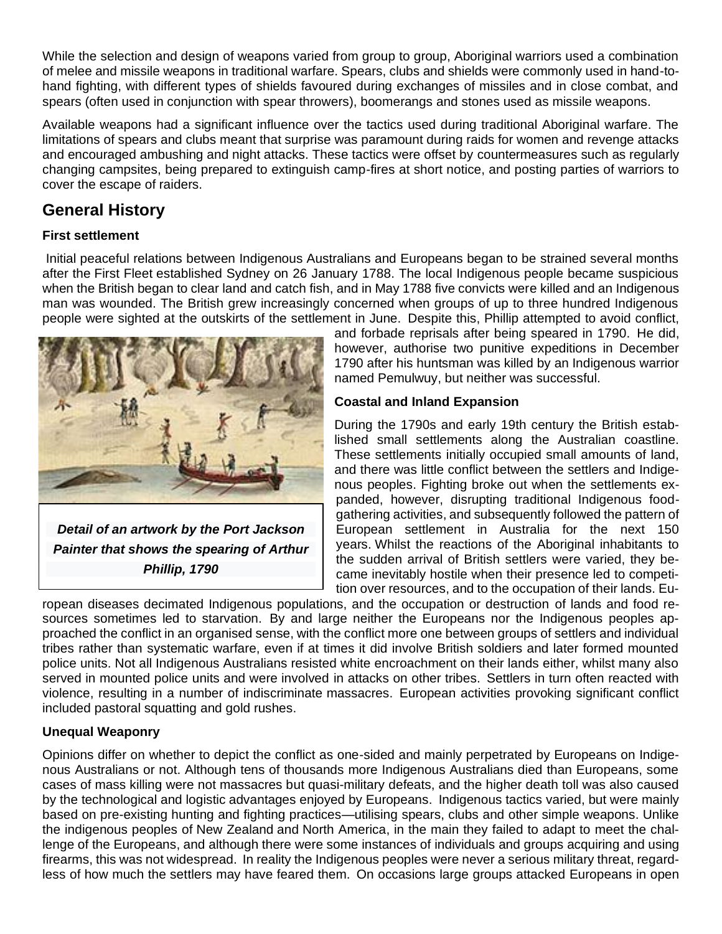While the selection and design of weapons varied from group to group, Aboriginal warriors used a combination of melee and missile weapons in traditional warfare. Spears, clubs and shields were commonly used in hand-tohand fighting, with different types of shields favoured during exchanges of missiles and in close combat, and spears (often used in conjunction with [spear throwers\)](https://en.wikipedia.org/wiki/Woomera_(spear-thrower)), [boomerangs](https://en.wikipedia.org/wiki/Boomerang) and stones used as missile weapons.

Available weapons had a significant influence over the tactics used during traditional Aboriginal warfare. The limitations of spears and clubs meant that surprise was paramount during raids for women and revenge attacks and encouraged ambushing and night attacks. These tactics were offset by countermeasures such as regularly changing campsites, being prepared to extinguish camp-fires at short notice, and posting parties of warriors to cover the escape of raiders.

### **General History**

#### **First settlement**

Initial peaceful relations between Indigenous Australians and Europeans began to be strained several months after the [First Fleet](https://en.wikipedia.org/wiki/First_Fleet) established Sydney on 26 January 1788. The local Indigenous people became suspicious when the British began to clear land and catch fish, and in May 1788 five convicts were killed and an Indigenous man was wounded. The British grew increasingly concerned when groups of up to three hundred Indigenous people were sighted at the outskirts of the settlement in June. Despite this, Phillip attempted to avoid conflict,



*Detail of an artwork by the [Port Jackson](https://en.wikipedia.org/wiki/Port_Jackson_Painter)  [Painter](https://en.wikipedia.org/wiki/Port_Jackson_Painter) [that shows the spearing of](https://en.wikipedia.org/wiki/File:Spearing_of_Arthur_Phillip.jpg) [Arthur](https://en.wikipedia.org/wiki/Arthur_Phillip)  [Phillip,](https://en.wikipedia.org/wiki/Arthur_Phillip) 1790*

and forbade reprisals after being speared in 1790. He did, however, authorise two punitive expeditions in December 1790 after his huntsman was killed by an Indigenous warrior named [Pemulwuy,](https://en.wikipedia.org/wiki/Pemulwuy) but neither was successful.

#### **Coastal and Inland Expansion**

During the 1790s and early 19th century the British established small settlements along the Australian coastline. These settlements initially occupied small amounts of land, and there was little conflict between the settlers and Indigenous peoples. Fighting broke out when the settlements expanded, however, disrupting traditional Indigenous foodgathering activities, and subsequently followed the pattern of European settlement in Australia for the next 150 years. Whilst the reactions of the Aboriginal inhabitants to the sudden arrival of British settlers were varied, they became inevitably hostile when their presence led to competition over resources, and to the occupation of their lands. Eu-

ropean diseases decimated Indigenous populations, and the occupation or destruction of lands and food resources sometimes led to starvation. By and large neither the Europeans nor the Indigenous peoples approached the conflict in an organised sense, with the conflict more one between groups of settlers and individual tribes rather than systematic warfare, even if at times it did involve British soldiers and later formed mounted police units. Not all Indigenous Australians resisted white encroachment on their lands either, whilst many also served in mounted police units and were involved in attacks on other tribes. Settlers in turn often reacted with violence, resulting in a number of indiscriminate [massacres.](https://en.wikipedia.org/wiki/Massacre) European activities provoking significant conflict included [pastoral squatting](https://en.wikipedia.org/wiki/Squatting_(pastoral)) and [gold rushes.](https://en.wikipedia.org/wiki/Australian_gold_rushes)

#### **Unequal Weaponry**

Opinions differ on whether to depict the conflict as one-sided and mainly perpetrated by Europeans on Indigenous Australians or not. Although tens of thousands more Indigenous Australians died than Europeans, some cases of mass killing were not massacres but quasi-military defeats, and the higher death toll was also caused by the technological and logistic advantages enjoyed by Europeans. Indigenous tactics varied, but were mainly based on pre-existing hunting and fighting practices—utilising spears, clubs and other simple weapons. Unlike the indigenous peoples of [New Zealand](https://en.wikipedia.org/wiki/M%C4%81ori_people) and [North America,](https://en.wikipedia.org/wiki/Indigenous_peoples_of_the_Americas) in the main they failed to adapt to meet the challenge of the Europeans, and although there were some instances of individuals and groups acquiring and using firearms, this was not widespread. In reality the Indigenous peoples were never a serious military threat, regardless of how much the settlers may have feared them. On occasions large groups attacked Europeans in open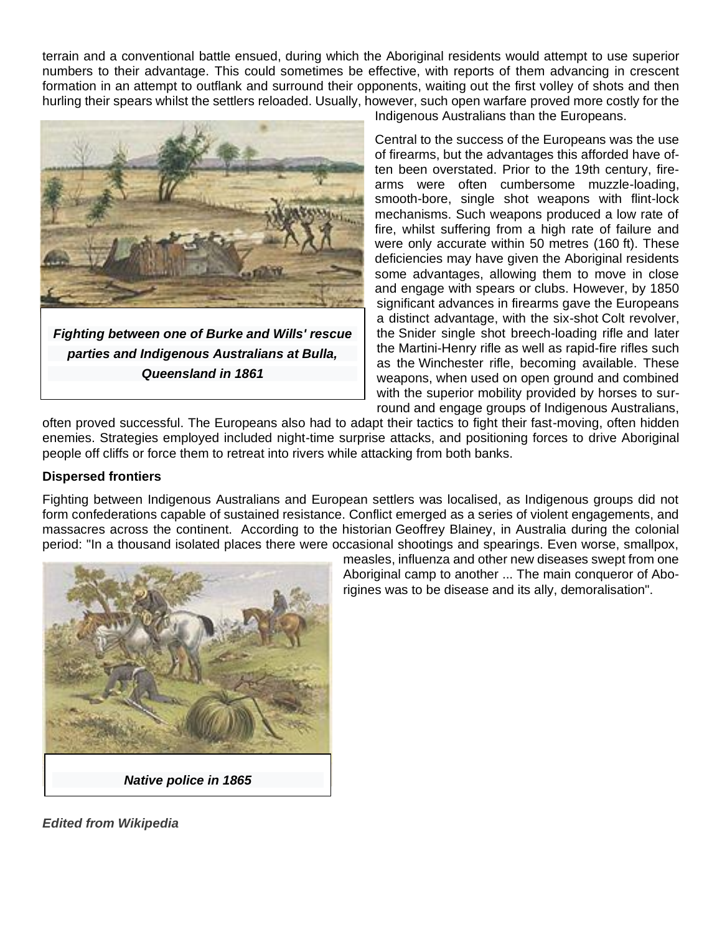terrain and a conventional battle ensued, during which the Aboriginal residents would attempt to use superior numbers to their advantage. This could sometimes be effective, with reports of them advancing in crescent formation in an attempt to outflank and surround their opponents, waiting out the first volley of shots and then hurling their spears whilst the settlers reloaded. Usually, however, such open warfare proved more costly for the



*parties and Indigenous Australians at Bulla, Queensland in 1861*

Indigenous Australians than the Europeans.

Central to the success of the Europeans was the use of firearms, but the advantages this afforded have often been overstated. Prior to the 19th century, firearms were often cumbersome muzzle-loading, smooth-bore, single shot weapons with flint-lock mechanisms. Such weapons produced a low rate of fire, whilst suffering from a high rate of failure and were only accurate within 50 metres (160 ft). These deficiencies may have given the Aboriginal residents some advantages, allowing them to move in close and engage with spears or [clubs.](https://en.wikipedia.org/wiki/Nulla_nulla) However, by 1850 significant advances in firearms gave the Europeans a distinct advantage, with the six-shot [Colt revolver,](https://en.wikipedia.org/wiki/Colt_revolver) the [Snider single shot breech-loading rifle](https://en.wikipedia.org/wiki/Snider-Enfield) and later the [Martini-Henry rifle](https://en.wikipedia.org/wiki/Martini-Henry_rifle) as well as rapid-fire rifles such as the [Winchester rifle,](https://en.wikipedia.org/wiki/Winchester_rifle) becoming available. These weapons, when used on open ground and combined with the superior mobility provided by horses to surround and engage groups of Indigenous Australians,

often proved successful. The Europeans also had to adapt their tactics to fight their fast-moving, often hidden enemies. Strategies employed included night-time surprise attacks, and positioning forces to drive Aboriginal people off cliffs or force them to retreat into rivers while attacking from both banks.

#### **Dispersed frontiers**

Fighting between Indigenous Australians and European settlers was localised, as Indigenous groups did not form confederations capable of sustained resistance. Conflict emerged as a series of violent engagements, and massacres across the continent. According to the historian [Geoffrey Blainey,](https://en.wikipedia.org/wiki/Geoffrey_Blainey) in Australia during the colonial period: "In a thousand isolated places there were occasional shootings and spearings. Even worse, smallpox,



measles, influenza and other new diseases swept from one Aboriginal camp to another ... The main conqueror of Aborigines was to be disease and its ally, demoralisation".

*Edited from Wikipedia*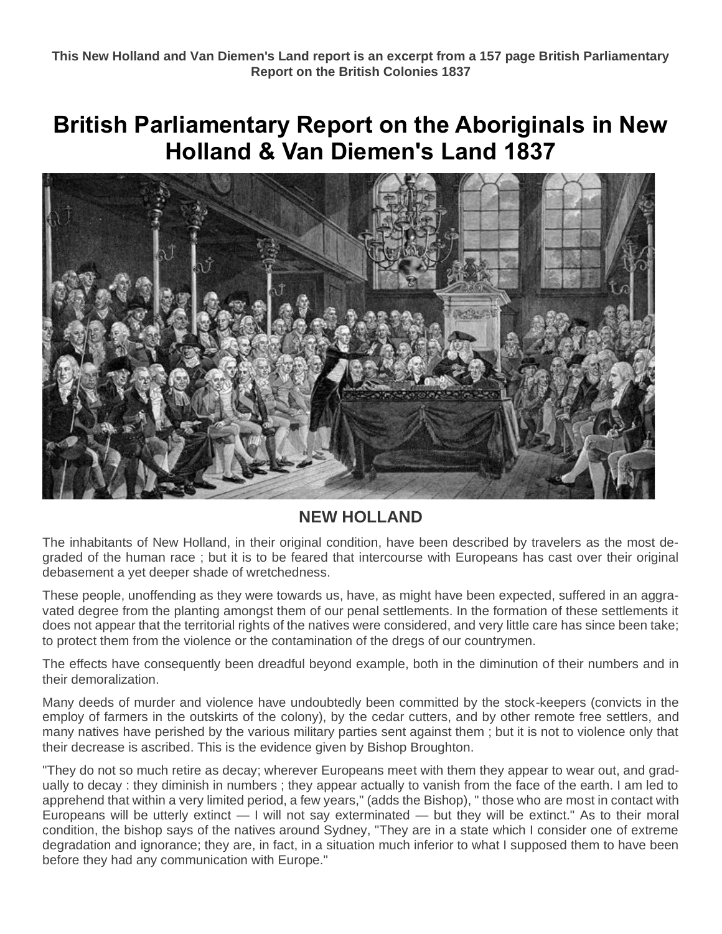## **British Parliamentary Report on the Aboriginals in New Holland & Van Diemen's Land 1837**



#### **NEW HOLLAND**

The inhabitants of New Holland, in their original condition, have been described by travelers as the most degraded of the human race ; but it is to be feared that intercourse with Europeans has cast over their original debasement a yet deeper shade of wretchedness.

These people, unoffending as they were towards us, have, as might have been expected, suffered in an aggravated degree from the planting amongst them of our penal settlements. In the formation of these settlements it does not appear that the territorial rights of the natives were considered, and very little care has since been take; to protect them from the violence or the contamination of the dregs of our countrymen.

The effects have consequently been dreadful beyond example, both in the diminution of their numbers and in their demoralization.

Many deeds of murder and violence have undoubtedly been committed by the stock-keepers (convicts in the employ of farmers in the outskirts of the colony), by the cedar cutters, and by other remote free settlers, and many natives have perished by the various military parties sent against them ; but it is not to violence only that their decrease is ascribed. This is the evidence given by Bishop Broughton.

"They do not so much retire as decay; wherever Europeans meet with them they appear to wear out, and gradually to decay : they diminish in numbers ; they appear actually to vanish from the face of the earth. I am led to apprehend that within a very limited period, a few years," (adds the Bishop), " those who are most in contact with Europeans will be utterly extinct — I will not say exterminated — but they will be extinct." As to their moral condition, the bishop says of the natives around Sydney, "They are in a state which I consider one of extreme degradation and ignorance; they are, in fact, in a situation much inferior to what I supposed them to have been before they had any communication with Europe."